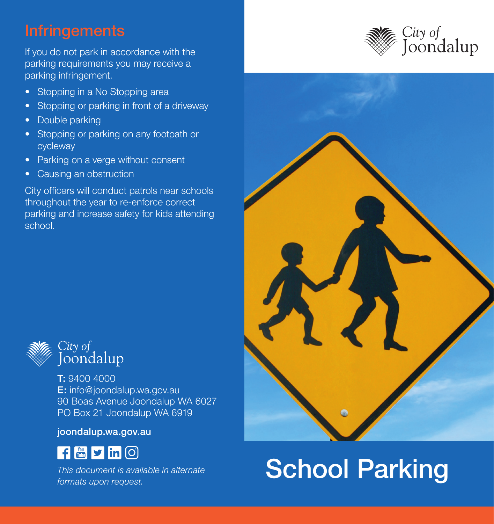### **Infringements**

If you do not park in accordance with the parking requirements you may receive a parking infringement.

- Stopping in a No Stopping area
- Stopping or parking in front of a driveway
- Double parking
- Stopping or parking on any footpath or cycleway
- Parking on a verge without consent
- Causing an obstruction

City officers will conduct patrols near schools throughout the year to re-enforce correct parking and increase safety for kids attending school.



T: 9400 4000 E: info@joondalup.wa.gov.au 90 Boas Avenue Joondalup WA 6027 PO Box 21 Joondalup WA 6919

joondalup.wa.gov.au



*This document is available in alternate formats upon request.*





# School Parking